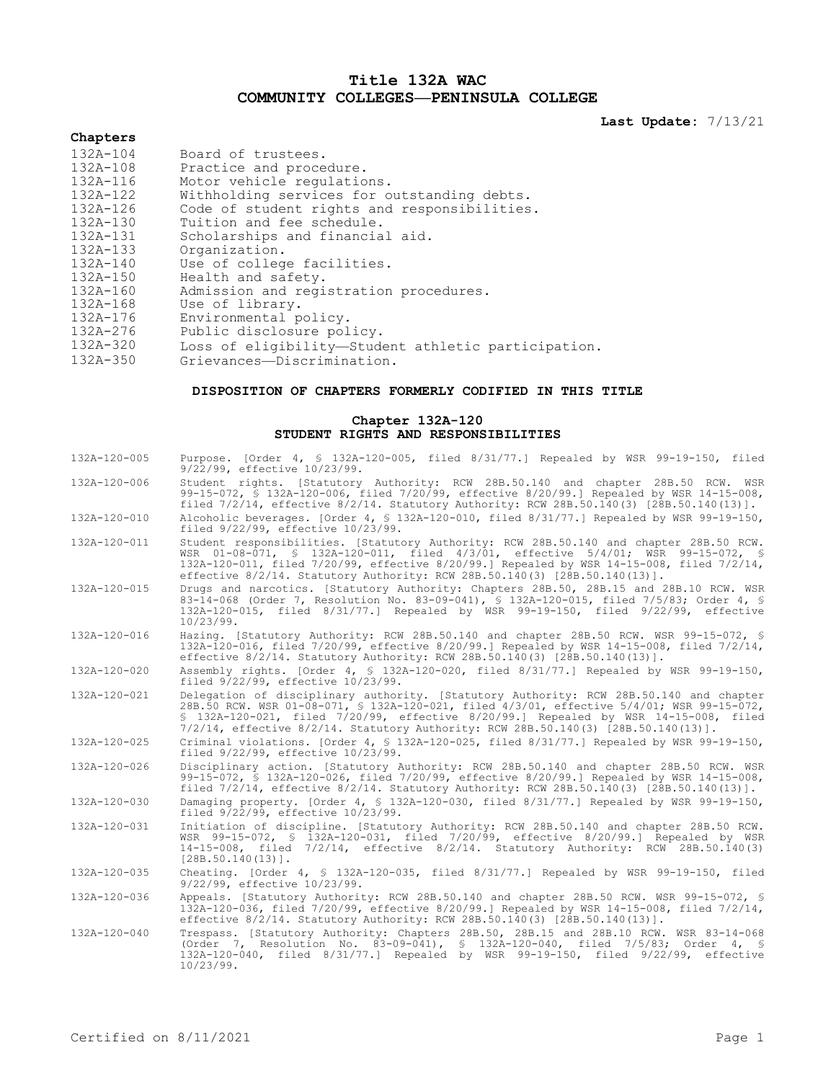# **Title 132A WAC COMMUNITY COLLEGES—PENINSULA COLLEGE**

**Last Update:** 7/13/21

# **Chapters**

| 132A-104     | Board of trustees.                                  |
|--------------|-----------------------------------------------------|
| 132A-108     | Practice and procedure.                             |
| 132A-116     | Motor vehicle requiations.                          |
| 132A-122     | Withholding services for outstanding debts.         |
| 132A-126     | Code of student rights and responsibilities.        |
| 132A-130     | Tuition and fee schedule.                           |
| 132A-131     | Scholarships and financial aid.                     |
| 132A-133     | Organization.                                       |
| $132A - 140$ | Use of college facilities.                          |
| 132A-150     | Health and safety.                                  |
| 132A-160     | Admission and registration procedures.              |
| 132A-168     | Use of library.                                     |
| 132A-176     | Environmental policy.                               |
| 132A-276     | Public disclosure policy.                           |
| 132A-320     | Loss of eligibility—Student athletic participation. |
| $132D - 35D$ | Criottonage Discrimination                          |

132A-350 Grievances—Discrimination.

# **DISPOSITION OF CHAPTERS FORMERLY CODIFIED IN THIS TITLE**

## **Chapter 132A-120 STUDENT RIGHTS AND RESPONSIBILITIES**

| 132A-120-005 | Purpose. [Order 4, § 132A-120-005, filed 8/31/77.] Repealed by WSR 99-19-150, filed<br>9/22/99, effective 10/23/99.                                                                                                                                                                                                                                                    |
|--------------|------------------------------------------------------------------------------------------------------------------------------------------------------------------------------------------------------------------------------------------------------------------------------------------------------------------------------------------------------------------------|
| 132A-120-006 | Student rights. [Statutory Authority: RCW 28B.50.140 and chapter 28B.50 RCW. WSR<br>99-15-072, § 132A-120-006, filed 7/20/99, effective 8/20/99.] Repealed by WSR 14-15-008,<br>filed $7/2/14$ , effective $8/2/14$ . Statutory Authority: RCW 28B.50.140(3) [28B.50.140(13)].                                                                                         |
| 132A-120-010 | Alcoholic beverages. [Order 4, § 132A-120-010, filed 8/31/77.] Repealed by WSR 99-19-150,<br>filed 9/22/99, effective 10/23/99.                                                                                                                                                                                                                                        |
| 132A-120-011 | Student responsibilities. [Statutory Authority: RCW 28B.50.140 and chapter 28B.50 RCW.<br>WSR 01-08-071, \$ 132A-120-011, filed 4/3/01, effective 5/4/01; WSR 99-15-072, \$<br>132A-120-011, filed 7/20/99, effective 8/20/99.] Repealed by WSR 14-15-008, filed 7/2/14,<br>effective 8/2/14. Statutory Authority: RCW 28B.50.140(3) [28B.50.140(13)].                 |
| 132A-120-015 | Drugs and narcotics. [Statutory Authority: Chapters 28B.50, 28B.15 and 28B.10 RCW. WSR<br>83-14-068 (Order 7, Resolution No. 83-09-041), § 132A-120-015, filed 7/5/83; Order 4, §<br>132A-120-015, filed 8/31/77.] Repealed by WSR 99-19-150, filed 9/22/99, effective<br>10/23/99.                                                                                    |
| 132A-120-016 | Hazing. [Statutory Authority: RCW 28B.50.140 and chapter 28B.50 RCW. WSR 99-15-072, §<br>132A-120-016, filed 7/20/99, effective 8/20/99.] Repealed by WSR 14-15-008, filed 7/2/14,<br>effective 8/2/14. Statutory Authority: RCW 28B.50.140(3) [28B.50.140(13)].                                                                                                       |
| 132A-120-020 | Assembly rights. [Order 4, § 132A-120-020, filed 8/31/77.] Repealed by WSR 99-19-150,<br>filed 9/22/99, effective 10/23/99.                                                                                                                                                                                                                                            |
| 132A-120-021 | Delegation of disciplinary authority. [Statutory Authority: RCW 28B.50.140 and chapter<br>28B.50 RCW. WSR 01-08-071, § 132A-120-021, filed 4/3/01, effective 5/4/01; WSR 99-15-072,<br>§ 132A-120-021, filed 7/20/99, effective 8/20/99.] Repealed by WSR 14-15-008, filed<br>$7/2/14$ , effective $8/2/14$ . Statutory Authority: RCW 28B.50.140(3) [28B.50.140(13)]. |
| 132A-120-025 | Criminal violations. [Order 4, § 132A-120-025, filed 8/31/77.] Repealed by WSR 99-19-150,<br>filed 9/22/99, effective 10/23/99.                                                                                                                                                                                                                                        |
| 132A-120-026 | Disciplinary action. [Statutory Authority: RCW 28B.50.140 and chapter 28B.50 RCW. WSR<br>99-15-072, § 132A-120-026, filed 7/20/99, effective 8/20/99.] Repealed by WSR 14-15-008,<br>filed 7/2/14, effective 8/2/14. Statutory Authority: RCW 28B.50.140(3) [28B.50.140(13)].                                                                                          |
| 132A-120-030 | Damaging property. [Order 4, § 132A-120-030, filed 8/31/77.] Repealed by WSR 99-19-150,<br>filed 9/22/99, effective 10/23/99.                                                                                                                                                                                                                                          |
| 132A-120-031 | Initiation of discipline. [Statutory Authority: RCW 28B.50.140 and chapter 28B.50 RCW.<br>WSR 99-15-072, § 132A-120-031, filed 7/20/99, effective 8/20/99.] Repealed by WSR<br>14-15-008, filed 7/2/14, effective 8/2/14. Statutory Authority: RCW 28B.50.140(3)<br>$[28B.50.140(13)]$ .                                                                               |
| 132A-120-035 | Cheating. [Order 4, $\frac{132A-120-035}{122A-120-035}$ , filed $\frac{8}{31/77}$ .] Repealed by WSR 99-19-150, filed<br>9/22/99, effective 10/23/99.                                                                                                                                                                                                                  |
| 132A-120-036 | Appeals. [Statutory Authority: RCW 28B.50.140 and chapter 28B.50 RCW. WSR 99-15-072, §<br>132A-120-036, filed 7/20/99, effective 8/20/99.] Repealed by WSR 14-15-008, filed 7/2/14,<br>effective 8/2/14. Statutory Authority: RCW 28B.50.140(3) [28B.50.140(13)].                                                                                                      |
| 132A-120-040 | Trespass. [Statutory Authority: Chapters 28B.50, 28B.15 and 28B.10 RCW. WSR 83-14-068<br>(Order 7, Resolution No. 83-09-041), § 132A-120-040, filed 7/5/83; Order 4, §<br>132A-120-040, filed 8/31/77.1 Repealed by WSR 99-19-150, filed 9/22/99, effective<br>10/23/99.                                                                                               |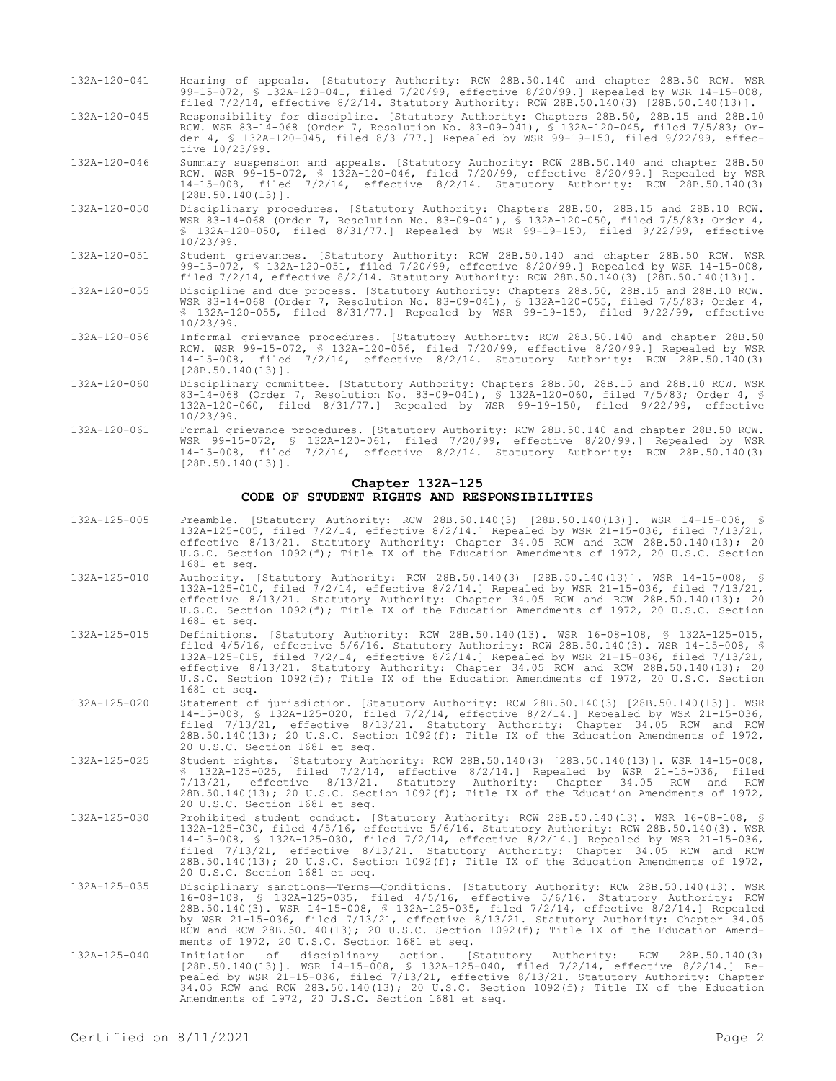- 132A-120-041 Hearing of appeals. [Statutory Authority: RCW 28B.50.140 and chapter 28B.50 RCW. WSR 99-15-072, § 132A-120-041, filed 7/20/99, effective 8/20/99.] Repealed by WSR 14-15-008, filed 7/2/14, effective 8/2/14. Statutory Authority: RCW 28B.50.140(3) [28B.50.140(13)].
- 132A-120-045 Responsibility for discipline. [Statutory Authority: Chapters 28B.50, 28B.15 and 28B.10 RCW. WSR 83-14-068 (Order 7, Resolution No. 83-09-041), § 132A-120-045, filed 7/5/83; Order 4, § 132A-120-045, filed 8/31/77.] Repealed by WSR 99-19-150, filed 9/22/99, effective 10/23/99.
- 132A-120-046 Summary suspension and appeals. [Statutory Authority: RCW 28B.50.140 and chapter 28B.50 RCW. WSR 99-15-072, § 132A-120-046, filed 7/20/99, effective 8/20/99.] Repealed by WSR 14-15-008, filed 7/2/14, effective 8/2/14. Statutory Authority: RCW 28B.50.140(3) [28B.50.140(13)].
- 132A-120-050 Disciplinary procedures. [Statutory Authority: Chapters 28B.50, 28B.15 and 28B.10 RCW. WSR 83-14-068 (Order 7, Resolution No. 83-09-041), § 132A-120-050, filed 7/5/83; Order 4, § 132A-120-050, filed 8/31/77.] Repealed by WSR 99-19-150, filed 9/22/99, effective 10/23/99.
- 132A-120-051 Student grievances. [Statutory Authority: RCW 28B.50.140 and chapter 28B.50 RCW. WSR 99-15-072, § 132A-120-051, filed 7/20/99, effective 8/20/99.] Repealed by WSR 14-15-008, filed 7/2/14, effective 8/2/14. Statutory Authority: RCW 28B.50.140(3) [28B.50.140(13)].
- 132A-120-055 Discipline and due process. [Statutory Authority: Chapters 28B.50, 28B.15 and 28B.10 RCW. WSR 83-14-068 (Order 7, Resolution No. 83-09-041), § 132A-120-055, filed 7/5/83; Order 4, § 132A-120-055, filed 8/31/77.] Repealed by WSR 99-19-150, filed 9/22/99, effective 10/23/99.
- 132A-120-056 Informal grievance procedures. [Statutory Authority: RCW 28B.50.140 and chapter 28B.50 RCW. WSR 99-15-072, § 132A-120-056, filed 7/20/99, effective 8/20/99.] Repealed by WSR 14-15-008, filed 7/2/14, effective 8/2/14. Statutory Authority: RCW 28B.50.140(3) [28B.50.140(13)].
- 132A-120-060 Disciplinary committee. [Statutory Authority: Chapters 28B.50, 28B.15 and 28B.10 RCW. WSR 83-14-068 (Order 7, Resolution No. 83-09-041), § 132A-120-060, filed 7/5/83; Order 4, § 132A-120-060, filed 8/31/77.] Repealed by WSR 99-19-150, filed 9/22/99, effective 10/23/99.
- 132A-120-061 Formal grievance procedures. [Statutory Authority: RCW 28B.50.140 and chapter 28B.50 RCW. WSR 99-15-072, § 132A-120-061, filed 7/20/99, effective 8/20/99.] Repealed by WSR 14-15-008, filed 7/2/14, effective 8/2/14. Statutory Authority: RCW 28B.50.140(3)  $[28B.50.140(13)]$ .

### **Chapter 132A-125 CODE OF STUDENT RIGHTS AND RESPONSIBILITIES**

- 132A-125-005 Preamble. [Statutory Authority: RCW 28B.50.140(3) [28B.50.140(13)]. WSR 14-15-008, § 132A-125-005, filed 7/2/14, effective 8/2/14.] Repealed by WSR 21-15-036, filed 7/13/21, effective 8/13/21. Statutory Authority: Chapter 34.05 RCW and RCW 28B.50.140(13); 20 U.S.C. Section 1092(f); Title IX of the Education Amendments of 1972, 20 U.S.C. Section 1681 et seq.
- 132A-125-010 Authority. [Statutory Authority: RCW 28B.50.140(3) [28B.50.140(13)]. WSR 14-15-008, § 132A-125-010, filed 7/2/14, effective 8/2/14.] Repealed by WSR 21-15-036, filed 7/13/21, effective 8/13/21. Statutory Authority: Chapter 34.05 RCW and RCW 28B.50.140(13); 20 U.S.C. Section 1092(f); Title IX of the Education Amendments of 1972, 20 U.S.C. Section 1681 et seq.
- 132A-125-015 Definitions. [Statutory Authority: RCW 28B.50.140(13). WSR 16-08-108, § 132A-125-015, filed 4/5/16, effective 5/6/16. Statutory Authority: RCW 28B.50.140(3). WSR 14-15-008, § 132A-125-015, filed 7/2/14, effective 8/2/14.] Repealed by WSR 21-15-036, filed 7/13/21, effective 8/13/21. Statutory Authority: Chapter 34.05 RCW and RCW 28B.50.140(13); 20 U.S.C. Section 1092(f); Title IX of the Education Amendments of 1972, 20 U.S.C. Section 1681 et seq.
- 132A-125-020 Statement of jurisdiction. [Statutory Authority: RCW 28B.50.140(3) [28B.50.140(13)]. WSR 14-15-008, § 132A-125-020, filed 7/2/14, effective 8/2/14.] Repealed by WSR 21-15-036, filed 7/13/21, effective 8/13/21. Statutory Authority: Chapter 34.05 RCW and RCW 28B.50.140(13); 20 U.S.C. Section 1092(f); Title IX of the Education Amendments of 1972, 20 U.S.C. Section 1681 et seq.
- 132A-125-025 Student rights. [Statutory Authority: RCW 28B.50.140(3) [28B.50.140(13)]. WSR 14-15-008, § 132A-125-025, filed 7/2/14, effective 8/2/14.] Repealed by WSR 21-15-036, filed 7/13/21, effective 8/13/21. Statutory Authority: Chapter 34.05 RCW and RCW 28B.50.140(13); 20 U.S.C. Section 1092(f); Title IX of the Education Amendments of 1972, 20 U.S.C. Section 1681 et seq.
- 132A-125-030 Prohibited student conduct. [Statutory Authority: RCW 28B.50.140(13). WSR 16-08-108, § 132A-125-030, filed 4/5/16, effective 5/6/16. Statutory Authority: RCW 28B.50.140(3). WSR 14-15-008, § 132A-125-030, filed 7/2/14, effective 8/2/14.] Repealed by WSR 21-15-036, filed 7/13/21, effective 8/13/21. Statutory Authority: Chapter 34.05 RCW and RCW 28B.50.140(13); 20 U.S.C. Section 1092(f); Title IX of the Education Amendments of 1972, 20 U.S.C. Section 1681 et seq.
- 132A-125-035 Disciplinary sanctions—Terms—Conditions. [Statutory Authority: RCW 28B.50.140(13). WSR 16-08-108, § 132A-125-035, filed 4/5/16, effective 5/6/16. Statutory Authority: RCW 28B.50.140(3). WSR 14-15-008, § 132A-125-035, filed 7/2/14, effective 8/2/14.] Repealed by WSR 21-15-036, filed 7/13/21, effective 8/13/21. Statutory Authority: Chapter 34.05 RCW and RCW 28B.50.140(13); 20 U.S.C. Section 1092(f); Title IX of the Education Amendments of 1972, 20 U.S.C. Section 1681 et seq.
- 132A-125-040 Initiation of disciplinary action. [Statutory Authority: RCW 28B.50.140(3) [28B.50.140(13)]. WSR 14-15-008, § 132A-125-040, filed 7/2/14, effective 8/2/14.] Re-pealed by WSR 21-15-036, filed 7/13/21, effective 8/13/21. Statutory Authority: Chapter 34.05 RCW and RCW 28B.50.140(13); 20 U.S.C. Section 1092(f); Title IX of the Education Amendments of 1972, 20 U.S.C. Section 1681 et seq.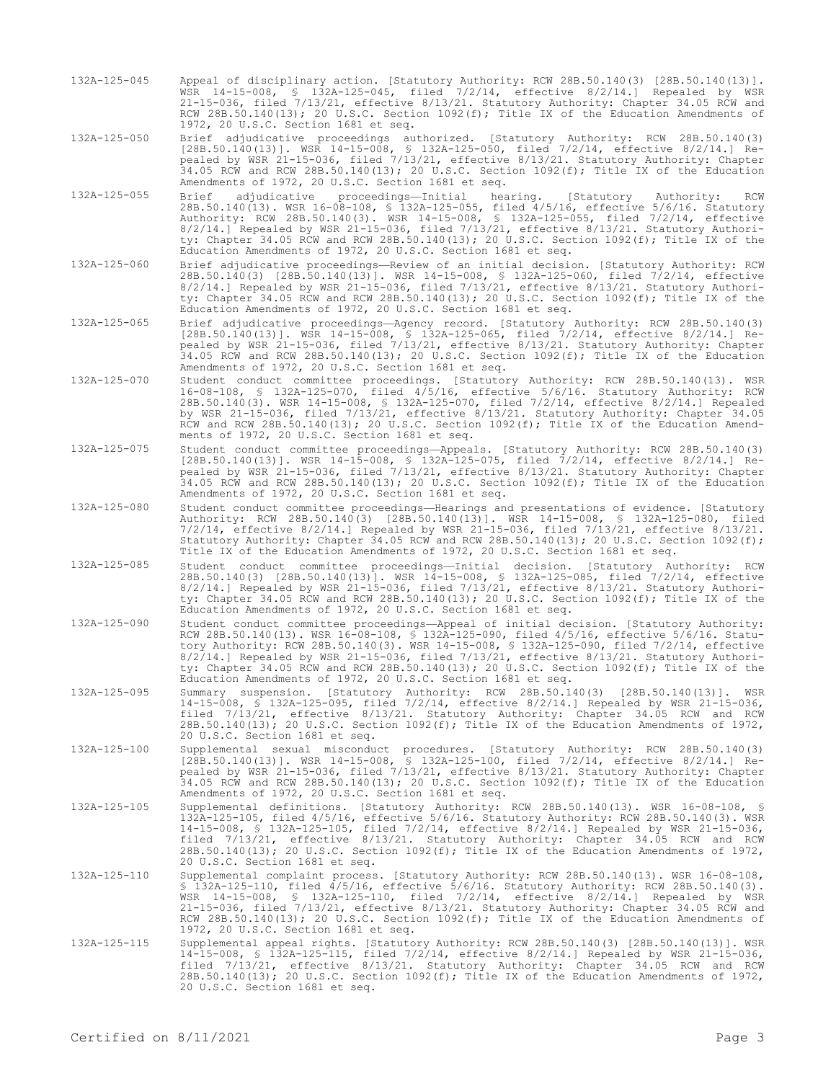132A-125-045 Appeal of disciplinary action. [Statutory Authority: RCW 28B.50.140(3) [28B.50.140(13)]. WSR 14-15-008, § 132A-125-045, filed 7/2/14, effective 8/2/14.] Repealed by WSR 21-15-036, filed 7/13/21, effective 8/13/21. Statutory Authority: Chapter 34.05 RCW and RCW 28B.50.140(13); 20 U.S.C. Section 1092(f); Title IX of the Education Amendments of 1972, 20 U.S.C. Section 1681 et seq.

132A-125-050 Brief adjudicative proceedings authorized. [Statutory Authority: RCW 28B.50.140(3) [28B.50.140(13)]. WSR 14-15-008, § 132A-125-050, filed 7/2/14, effective 8/2/14.] Repealed by WSR 21-15-036, filed 7/13/21, effective 8/13/21. Statutory Authority: Chapter 34.05 RCW and RCW 28B.50.140(13); 20 U.S.C. Section 1092(f); Title IX of the Education Amendments of 1972, 20 U.S.C. Section 1681 et seq.

- 132A-125-055 Brief adjudicative proceedings—Initial hearing. [Statutory Authority: RCW 28B.50.140(13). WSR 16-08-108, § 132A-125-055, filed 4/5/16, effective 5/6/16. Statutory Authority: RCW 28B.50.140(3). WSR 14-15-008, § 132A-125-055, filed 7/2/14, effective 8/2/14.] Repealed by WSR 21-15-036, filed 7/13/21, effective 8/13/21. Statutory Authority: Chapter 34.05 RCW and RCW 28B.50.140(13); 20 U.S.C. Section 1092(f); Title IX of the Education Amendments of 1972, 20 U.S.C. Section 1681 et seq.
- 132A-125-060 Brief adjudicative proceedings—Review of an initial decision. [Statutory Authority: RCW 28B.50.140(3) [28B.50.140(13)]. WSR 14-15-008, § 132A-125-060, filed 7/2/14, effective 8/2/14.] Repealed by WSR 21-15-036, filed 7/13/21, effective 8/13/21. Statutory Authority: Chapter 34.05 RCW and RCW 28B.50.140(13); 20 U.S.C. Section 1092(f); Title IX of the Education Amendments of 1972, 20 U.S.C. Section 1681 et seq.
- 132A-125-065 Brief adjudicative proceedings—Agency record. [Statutory Authority: RCW 28B.50.140(3) [28B.50.140(13)]. WSR 14-15-008, § 132A-125-065, filed 7/2/14, effective 8/2/14.] Repealed by WSR 21-15-036, filed 7/13/21, effective 8/13/21. Statutory Authority: Chapter 34.05 RCW and RCW 28B.50.140(13); 20 U.S.C. Section 1092(f); Title IX of the Education Amendments of 1972, 20 U.S.C. Section 1681 et seq.
- 132A-125-070 Student conduct committee proceedings. [Statutory Authority: RCW 28B.50.140(13). WSR 16-08-108, § 132A-125-070, filed 4/5/16, effective 5/6/16. Statutory Authority: RCW 28B.50.140(3). WSR 14-15-008, § 132A-125-070, filed 7/2/14, effective 8/2/14.] Repealed by WSR 21-15-036, filed 7/13/21, effective 8/13/21. Statutory Authority: Chapter 34.05 RCW and RCW 28B.50.140(13); 20 U.S.C. Section 1092(f); Title IX of the Education Amendments of 1972, 20 U.S.C. Section 1681 et seq.
- 132A-125-075 Student conduct committee proceedings—Appeals. [Statutory Authority: RCW 28B.50.140(3) [28B.50.140(13)]. WSR 14-15-008, § 132A-125-075, filed 7/2/14, effective 8/2/14.] Repealed by WSR 21-15-036, filed 7/13/21, effective 8/13/21. Statutory Authority: Chapter 34.05 RCW and RCW 28B.50.140(13); 20 U.S.C. Section 1092(f); Title IX of the Education Amendments of 1972, 20 U.S.C. Section 1681 et seq.
- 132A-125-080 Student conduct committee proceedings—Hearings and presentations of evidence. [Statutory Authority: RCW 28B.50.140(3) [28B.50.140(13)]. WSR 14-15-008, § 132A-125-080, filed 7/2/14, effective 8/2/14.] Repealed by WSR 21-15-036, filed 7/13/21, effective 8/13/21. Statutory Authority: Chapter 34.05 RCW and RCW 28B.50.140(13); 20 U.S.C. Section 1092(f); Title IX of the Education Amendments of 1972, 20 U.S.C. Section 1681 et seq.
- 132A-125-085 Student conduct committee proceedings—Initial decision. [Statutory Authority: RCW 28B.50.140(3) [28B.50.140(13)]. WSR 14-15-008, § 132A-125-085, filed 7/2/14, effective 8/2/14.] Repealed by WSR 21-15-036, filed 7/13/21, effective 8/13/21. Statutory Authority: Chapter 34.05 RCW and RCW 28B.50.140(13); 20 U.S.C. Section 1092(f); Title IX of the Education Amendments of 1972, 20 U.S.C. Section 1681 et seq.
- 132A-125-090 Student conduct committee proceedings—Appeal of initial decision. [Statutory Authority: RCW 28B.50.140(13). WSR 16-08-108, § 132A-125-090, filed 4/5/16, effective 5/6/16. Statutory Authority: RCW 28B.50.140(3). WSR 14-15-008, § 132A-125-090, filed 7/2/14, effective 8/2/14.] Repealed by WSR 21-15-036, filed 7/13/21, effective 8/13/21. Statutory Authority: Chapter 34.05 RCW and RCW 28B.50.140(13); 20 U.S.C. Section 1092(f); Title IX of the Education Amendments of 1972, 20 U.S.C. Section 1681 et seq.
- 132A-125-095 Summary suspension. [Statutory Authority: RCW 28B.50.140(3) [28B.50.140(13)]. WSR 14-15-008, § 132A-125-095, filed 7/2/14, effective 8/2/14.] Repealed by WSR 21-15-036, filed 7/13/21, effective 8/13/21. Statutory Authority: Chapter 34.05 RCW and RCW 28B.50.140(13); 20 U.S.C. Section 1092(f); Title IX of the Education Amendments of 1972, 20 U.S.C. Section 1681 et seq.
- 132A-125-100 Supplemental sexual misconduct procedures. [Statutory Authority: RCW 28B.50.140(3) [28B.50.140(13)]. WSR 14-15-008, § 132A-125-100, filed 7/2/14, effective 8/2/14.] Repealed by WSR 21-15-036, filed 7/13/21, effective 8/13/21. Statutory Authority: Chapter 34.05 RCW and RCW 28B.50.140(13); 20 U.S.C. Section 1092(f); Title IX of the Education Amendments of 1972, 20 U.S.C. Section 1681 et seq.
- 132A-125-105 Supplemental definitions. [Statutory Authority: RCW 28B.50.140(13). WSR 16-08-108, § 132A-125-105, filed 4/5/16, effective 5/6/16. Statutory Authority: RCW 28B.50.140(3). WSR 14-15-008, § 132A-125-105, filed 7/2/14, effective 8/2/14.] Repealed by WSR 21-15-036, filed 7/13/21, effective 8/13/21. Statutory Authority: Chapter 34.05 RCW and RCW 28B.50.140(13); 20 U.S.C. Section 1092(f); Title IX of the Education Amendments of 1972, 20 U.S.C. Section 1681 et seq.
- 132A-125-110 Supplemental complaint process. [Statutory Authority: RCW 28B.50.140(13). WSR 16-08-108, § 132A-125-110, filed 4/5/16, effective 5/6/16. Statutory Authority: RCW 28B.50.140(3). WSR 14-15-008, § 132A-125-110, filed 7/2/14, effective 8/2/14.] Repealed by WSR 21-15-036, filed 7/13/21, effective 8/13/21. Statutory Authority: Chapter 34.05 RCW and RCW 28B.50.140(13); 20 U.S.C. Section 1092(f); Title IX of the Education Amendments of 1972, 20 U.S.C. Section 1681 et seq.
- 132A-125-115 Supplemental appeal rights. [Statutory Authority: RCW 28B.50.140(3) [28B.50.140(13)]. WSR 14-15-008, § 132A-125-115, filed 7/2/14, effective 8/2/14.] Repealed by WSR 21-15-036, filed 7/13/21, effective 8/13/21. Statutory Authority: Chapter 34.05 RCW and RCW 28B.50.140(13); 20 U.S.C. Section 1092(f); Title IX of the Education Amendments of 1972, 20 U.S.C. Section 1681 et seq.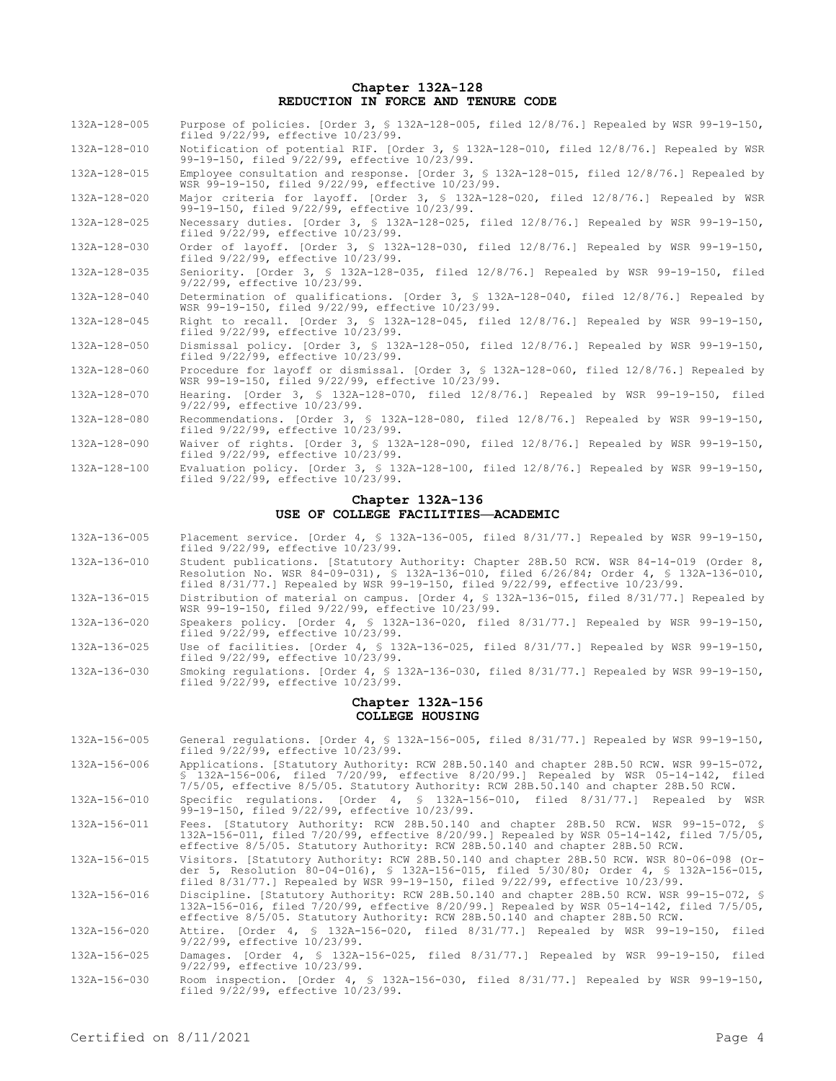#### **Chapter 132A-128 REDUCTION IN FORCE AND TENURE CODE**

| 132A-128-005                       | Purpose of policies. [Order 3, § 132A-128-005, filed $12/8/76$ .] Repealed by WSR 99-19-150,<br>filed 9/22/99, effective 10/23/99.                                                                                                                                 |  |  |
|------------------------------------|--------------------------------------------------------------------------------------------------------------------------------------------------------------------------------------------------------------------------------------------------------------------|--|--|
| 132A-128-010                       | Notification of potential RIF. [Order 3, § 132A-128-010, filed 12/8/76.] Repealed by WSR<br>99-19-150, filed 9/22/99, effective 10/23/99.                                                                                                                          |  |  |
| 132A-128-015                       | Employee consultation and response. [Order 3, § 132A-128-015, filed 12/8/76.] Repealed by<br>WSR 99-19-150, filed 9/22/99, effective 10/23/99.                                                                                                                     |  |  |
| 132A-128-020                       | Major criteria for layoff. [Order 3, § 132A-128-020, filed 12/8/76.] Repealed by WSR<br>99-19-150, filed 9/22/99, effective 10/23/99.                                                                                                                              |  |  |
| 132A-128-025                       | Necessary duties. [Order 3, § 132A-128-025, filed 12/8/76.] Repealed by WSR 99-19-150,<br>filed 9/22/99, effective 10/23/99.                                                                                                                                       |  |  |
| 132A-128-030                       | Order of layoff. [Order 3, § 132A-128-030, filed 12/8/76.] Repealed by WSR 99-19-150,<br>filed 9/22/99, effective 10/23/99.                                                                                                                                        |  |  |
| 132A-128-035                       | Seniority. [Order 3, § 132A-128-035, filed 12/8/76.] Repealed by WSR 99-19-150, filed<br>9/22/99, effective 10/23/99.                                                                                                                                              |  |  |
| 132A-128-040                       | Determination of qualifications. [Order 3, § 132A-128-040, filed 12/8/76.] Repealed by<br>WSR 99-19-150, filed 9/22/99, effective 10/23/99.                                                                                                                        |  |  |
| 132A-128-045                       | Right to recall. [Order 3, § 132A-128-045, filed 12/8/76.] Repealed by WSR 99-19-150,<br>filed 9/22/99, effective 10/23/99.                                                                                                                                        |  |  |
| 132A-128-050                       | Dismissal policy. [Order 3, § 132A-128-050, filed 12/8/76.] Repealed by WSR 99-19-150,<br>filed 9/22/99, effective 10/23/99.                                                                                                                                       |  |  |
| 132A-128-060                       | Procedure for layoff or dismissal. [Order 3, § 132A-128-060, filed 12/8/76.] Repealed by<br>WSR 99-19-150, filed 9/22/99, effective 10/23/99.                                                                                                                      |  |  |
| 132A-128-070                       | Hearing. [Order 3, § 132A-128-070, filed 12/8/76.] Repealed by WSR 99-19-150, filed<br>9/22/99, effective 10/23/99.                                                                                                                                                |  |  |
| 132A-128-080                       | Recommendations. [Order 3, § 132A-128-080, filed 12/8/76.] Repealed by WSR 99-19-150,<br>filed 9/22/99, effective 10/23/99.                                                                                                                                        |  |  |
| 132A-128-090                       | Waiver of rights. [Order 3, § 132A-128-090, filed 12/8/76.] Repealed by WSR 99-19-150,<br>filed 9/22/99, effective 10/23/99.                                                                                                                                       |  |  |
| 132A-128-100                       | Evaluation policy. [Order 3, § 132A-128-100, filed 12/8/76.] Repealed by WSR 99-19-150,<br>filed 9/22/99, effective 10/23/99.                                                                                                                                      |  |  |
|                                    | Chapter 132A-136                                                                                                                                                                                                                                                   |  |  |
| USE OF COLLEGE FACILITIES-ACADEMIC |                                                                                                                                                                                                                                                                    |  |  |
| 132A-136-005                       | Placement service. [Order 4, § 132A-136-005, filed 8/31/77.] Repealed by WSR 99-19-150,<br>filed 9/22/99, effective 10/23/99.                                                                                                                                      |  |  |
| 132A-136-010                       | Student publications. [Statutory Authority: Chapter 28B.50 RCW. WSR 84-14-019 (Order 8,<br>Resolution No. WSR 84-09-031), § 132A-136-010, filed 6/26/84; Order 4, § 132A-136-010,<br>filed 8/31/77.1 Repealed by WSR 99-19-150, filed 9/22/99, effective 10/23/99. |  |  |
| 132A-136-015                       | Distribution of material on campus. [Order 4, § 132A-136-015, filed 8/31/77.] Repealed by<br>WSR 99-19-150, filed 9/22/99, effective 10/23/99.                                                                                                                     |  |  |
| 132A-136-020                       | Speakers policy. [Order 4, § 132A-136-020, filed $8/31/77$ .] Repealed by WSR 99-19-150,<br>filed 9/22/99, effective 10/23/99.                                                                                                                                     |  |  |
| 132A-136-025                       | Use of facilities. [Order 4, § 132A-136-025, filed 8/31/77.] Repealed by WSR 99-19-150,<br>filed 9/22/99, effective 10/23/99.                                                                                                                                      |  |  |
| 132A-136-030                       | Smoking regulations. [Order 4, § 132A-136-030, filed 8/31/77.] Repealed by WSR 99-19-150,<br>filed 9/22/99, effective 10/23/99.                                                                                                                                    |  |  |
|                                    | $A1 = 1.12$ $A2 = 1.00$ $A1 = 0.00$                                                                                                                                                                                                                                |  |  |

#### **Chapter 132A-156 COLLEGE HOUSING**

- 132A-156-005 General regulations. [Order 4, § 132A-156-005, filed 8/31/77.] Repealed by WSR 99-19-150, filed 9/22/99, effective 10/23/99. 132A-156-006 Applications. [Statutory Authority: RCW 28B.50.140 and chapter 28B.50 RCW. WSR 99-15-072,
- § 132A-156-006, filed 7/20/99, effective 8/20/99.] Repealed by WSR 05-14-142, filed 7/5/05, effective 8/5/05. Statutory Authority: RCW 28B.50.140 and chapter 28B.50 RCW.
- 132A-156-010 Specific regulations. [Order 4, § 132A-156-010, filed 8/31/77.] Repealed by WSR 99-19-150, filed 9/22/99, effective 10/23/99.
- 132A-156-011 Fees. [Statutory Authority: RCW 28B.50.140 and chapter 28B.50 RCW. WSR 99-15-072, § 132A-156-011, filed 7/20/99, effective 8/20/99.] Repealed by WSR 05-14-142, filed 7/5/05, effective 8/5/05. Statutory Authority: RCW 28B.50.140 and chapter 28B.50 RCW.

132A-156-015 Visitors. [Statutory Authority: RCW 28B.50.140 and chapter 28B.50 RCW. WSR 80-06-098 (Order 5, Resolution 80-04-016), § 132A-156-015, filed 5/30/80; Order 4, § 132A-156-015, filed 8/31/77.] Repealed by WSR 99-19-150, filed 9/22/99, effective 10/23/99.

132A-156-016 Discipline. [Statutory Authority: RCW 28B.50.140 and chapter 28B.50 RCW. WSR 99-15-072, § 132A-156-016, filed 7/20/99, effective 8/20/99.] Repealed by WSR 05-14-142, filed 7/5/05, effective 8/5/05. Statutory Authority: RCW 28B.50.140 and chapter 28B.50 RCW.

132A-156-020 Attire. [Order 4, § 132A-156-020, filed 8/31/77.] Repealed by WSR 99-19-150, filed 9/22/99, effective 10/23/99.

132A-156-025 Damages. [Order 4, § 132A-156-025, filed 8/31/77.] Repealed by WSR 99-19-150, filed 9/22/99, effective 10/23/99.

132A-156-030 Room inspection. [Order 4, § 132A-156-030, filed 8/31/77.] Repealed by WSR 99-19-150, filed 9/22/99, effective 10/23/99.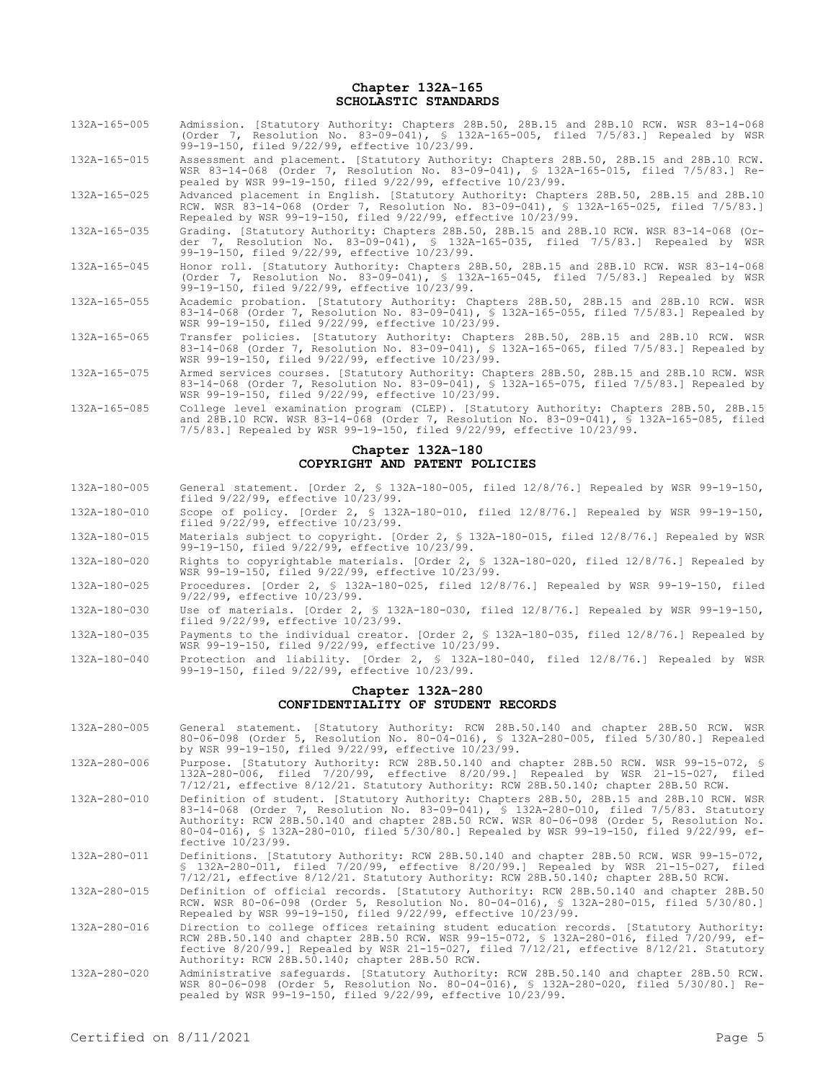**Chapter 132A-165 SCHOLASTIC STANDARDS**

- 132A-165-005 Admission. [Statutory Authority: Chapters 28B.50, 28B.15 and 28B.10 RCW. WSR 83-14-068 (Order 7, Resolution No. 83-09-041), § 132A-165-005, filed 7/5/83.] Repealed by WSR 99-19-150, filed 9/22/99, effective 10/23/99.
- 132A-165-015 Assessment and placement. [Statutory Authority: Chapters 28B.50, 28B.15 and 28B.10 RCW. WSR 83-14-068 (Order 7, Resolution No. 83-09-041), § 132A-165-015, filed 7/5/83.] Repealed by WSR 99-19-150, filed 9/22/99, effective 10/23/99.
- 132A-165-025 Advanced placement in English. [Statutory Authority: Chapters 28B.50, 28B.15 and 28B.10 RCW. WSR 83-14-068 (Order 7, Resolution No. 83-09-041), § 132A-165-025, filed 7/5/83.] Repealed by WSR 99-19-150, filed 9/22/99, effective 10/23/99.
- 132A-165-035 Grading. [Statutory Authority: Chapters 28B.50, 28B.15 and 28B.10 RCW. WSR 83-14-068 (Order 7, Resolution No. 83-09-041), § 132A-165-035, filed 7/5/83.] Repealed by WSR 99-19-150, filed 9/22/99, effective 10/23/99.
- 132A-165-045 Honor roll. [Statutory Authority: Chapters 28B.50, 28B.15 and 28B.10 RCW. WSR 83-14-068 (Order 7, Resolution No. 83-09-041), § 132A-165-045, filed 7/5/83.] Repealed by WSR 99-19-150, filed 9/22/99, effective 10/23/99.
- 132A-165-055 Academic probation. [Statutory Authority: Chapters 28B.50, 28B.15 and 28B.10 RCW. WSR 83-14-068 (Order 7, Resolution No. 83-09-041), § 132A-165-055, filed 7/5/83.] Repealed by WSR 99-19-150, filed 9/22/99, effective 10/23/99.
- 132A-165-065 Transfer policies. [Statutory Authority: Chapters 28B.50, 28B.15 and 28B.10 RCW. WSR 83-14-068 (Order 7, Resolution No. 83-09-041), § 132A-165-065, filed 7/5/83.] Repealed by WSR 99-19-150, filed 9/22/99, effective 10/23/99.
- 132A-165-075 Armed services courses. [Statutory Authority: Chapters 28B.50, 28B.15 and 28B.10 RCW. WSR 83-14-068 (Order 7, Resolution No. 83-09-041), § 132A-165-075, filed 7/5/83.] Repealed by WSR 99-19-150, filed 9/22/99, effective 10/23/99.
- 132A-165-085 College level examination program (CLEP). [Statutory Authority: Chapters 28B.50, 28B.15 and 28B.10 RCW. WSR 83-14-068 (Order 7, Resolution No. 83-09-041), § 132A-165-085, filed 7/5/83.] Repealed by WSR 99-19-150, filed 9/22/99, effective 10/23/99.

#### **Chapter 132A-180 COPYRIGHT AND PATENT POLICIES**

- 132A-180-005 General statement. [Order 2, § 132A-180-005, filed 12/8/76.] Repealed by WSR 99-19-150, General statement. [Order 2, § 132<br>filed 9/22/99, effective 10/23/99.
- 132A-180-010 Scope of policy. [Order 2, § 132A-180-010, filed 12/8/76.] Repealed by WSR 99-19-150, filed 9/22/99, effective 10/23/99.
- 132A-180-015 Materials subject to copyright. [Order 2, § 132A-180-015, filed 12/8/76.] Repealed by WSR 99-19-150, filed 9/22/99, effective 10/23/99.
- 132A-180-020 Rights to copyrightable materials. [Order 2, § 132A-180-020, filed 12/8/76.] Repealed by WSR 99-19-150, filed 9/22/99, effective 10/23/99.
- 132A-180-025 Procedures. [Order 2, § 132A-180-025, filed 12/8/76.] Repealed by WSR 99-19-150, filed 9/22/99, effective 10/23/99.
- 132A-180-030 Use of materials. [Order 2, § 132A-180-030, filed 12/8/76.] Repealed by WSR 99-19-150, filed 9/22/99, effective 10/23/99.
- 132A-180-035 Payments to the individual creator. [Order 2, § 132A-180-035, filed 12/8/76.] Repealed by WSR 99-19-150, filed 9/22/99, effective 10/23/99.
- 132A-180-040 Protection and liability. [Order 2, § 132A-180-040, filed 12/8/76.] Repealed by WSR 99-19-150, filed 9/22/99, effective 10/23/99.

### **Chapter 132A-280 CONFIDENTIALITY OF STUDENT RECORDS**

- 132A-280-005 General statement. [Statutory Authority: RCW 28B.50.140 and chapter 28B.50 RCW. WSR 80-06-098 (Order 5, Resolution No. 80-04-016), § 132A-280-005, filed 5/30/80.] Repealed by WSR 99-19-150, filed 9/22/99, effective 10/23/99.
- 132A-280-006 Purpose. [Statutory Authority: RCW 28B.50.140 and chapter 28B.50 RCW. WSR 99-15-072, § 132A-280-006, filed 7/20/99, effective 8/20/99.] Repealed by WSR 21-15-027, filed 7/12/21, effective 8/12/21. Statutory Authority: RCW 28B.50.140; chapter 28B.50 RCW.
- 132A-280-010 Definition of student. [Statutory Authority: Chapters 28B.50, 28B.15 and 28B.10 RCW. WSR 83-14-068 (Order 7, Resolution No. 83-09-041), § 132A-280-010, filed 7/5/83. Statutory Authority: RCW 28B.50.140 and chapter 28B.50 RCW. WSR 80-06-098 (Order 5, Resolution No. 80-04-016), § 132A-280-010, filed 5/30/80.] Repealed by WSR 99-19-150, filed 9/22/99, effective 10/23/99.
- 132A-280-011 Definitions. [Statutory Authority: RCW 28B.50.140 and chapter 28B.50 RCW. WSR 99-15-072, § 132A-280-011, filed 7/20/99, effective 8/20/99.] Repealed by WSR 21-15-027, filed 7/12/21, effective 8/12/21. Statutory Authority: RCW 28B.50.140; chapter 28B.50 RCW.
- 132A-280-015 Definition of official records. [Statutory Authority: RCW 28B.50.140 and chapter 28B.50 RCW. WSR 80-06-098 (Order 5, Resolution No. 80-04-016), § 132A-280-015, filed 5/30/80.] Repealed by WSR 99-19-150, filed 9/22/99, effective 10/23/99.
- 132A-280-016 Direction to college offices retaining student education records. [Statutory Authority: RCW 28B.50.140 and chapter 28B.50 RCW. WSR 99-15-072, § 132A-280-016, filed 7/20/99, effective 8/20/99.] Repealed by WSR 21-15-027, filed 7/12/21, effective 8/12/21. Statutory Authority: RCW 28B.50.140; chapter 28B.50 RCW.
- 132A-280-020 Administrative safeguards. [Statutory Authority: RCW 28B.50.140 and chapter 28B.50 RCW. WSR 80-06-098 (Order 5, Resolution No. 80-04-016), § 132A-280-020, filed 5/30/80.] Repealed by WSR 99-19-150, filed 9/22/99, effective 10/23/99.